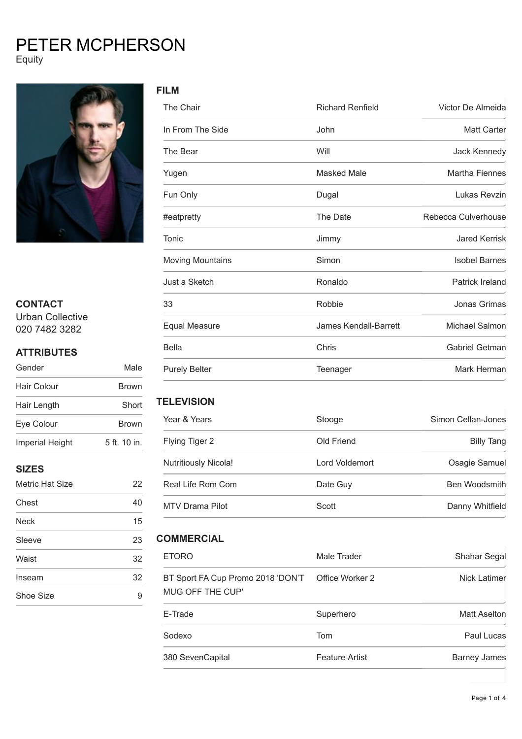# PETER MCPHERSON Equity



## **CONTACT**

Urban Collective 020 7482 3282

## **ATTRIBUTES**

| Gender                 | Male         |
|------------------------|--------------|
| Hair Colour            | <b>Brown</b> |
| Hair Length            | Short        |
| Eye Colour             | <b>Brown</b> |
| <b>Imperial Height</b> | 5 ft. 10 in. |
|                        |              |

## **SIZES**

| Metric Hat Size | 22 |
|-----------------|----|
| Chest           | 40 |
| <b>Neck</b>     | 15 |
| Sleeve          | 23 |
| Waist           | 32 |
| Inseam          | 32 |
| Shoe Size       |    |

| The Chair               | <b>Richard Renfield</b>      | Victor De Almeida     |
|-------------------------|------------------------------|-----------------------|
| In From The Side        | John                         | <b>Matt Carter</b>    |
| The Bear                | Will                         | Jack Kennedy          |
| Yugen                   | <b>Masked Male</b>           | <b>Martha Fiennes</b> |
| Fun Only                | Dugal                        | Lukas Revzin          |
| #eatpretty              | The Date                     | Rebecca Culverhouse   |
| Tonic                   | Jimmy                        | <b>Jared Kerrisk</b>  |
| <b>Moving Mountains</b> | Simon                        | <b>Isobel Barnes</b>  |
| Just a Sketch           | Ronaldo                      | Patrick Ireland       |
| 33                      | Robbie                       | Jonas Grimas          |
| <b>Equal Measure</b>    | <b>James Kendall-Barrett</b> | Michael Salmon        |
| <b>Bella</b>            | Chris                        | Gabriel Getman        |
| <b>Purely Belter</b>    | Teenager                     | Mark Herman           |

### **TELEVISION**

| Year & Years                | Stooge         | Simon Cellan-Jones |
|-----------------------------|----------------|--------------------|
| Flying Tiger 2              | Old Friend     | Billy Tang         |
| <b>Nutritiously Nicola!</b> | Lord Voldemort | Osagie Samuel      |
| Real Life Rom Com           | Date Guy       | Ben Woodsmith      |
| MTV Drama Pilot             | Scott          | Danny Whitfield    |

## **COMMERCIAL**

| <b>ETORO</b>                                                           | Male Trader           | Shahar Segal |
|------------------------------------------------------------------------|-----------------------|--------------|
| BT Sport FA Cup Promo 2018 'DON'T  Office Worker 2<br>MUG OFF THE CUP' |                       | Nick Latimer |
| E-Trade                                                                | Superhero             | Matt Aselton |
| Sodexo                                                                 | Tom                   | Paul Lucas   |
| 380 SevenCapital                                                       | <b>Feature Artist</b> | Barney James |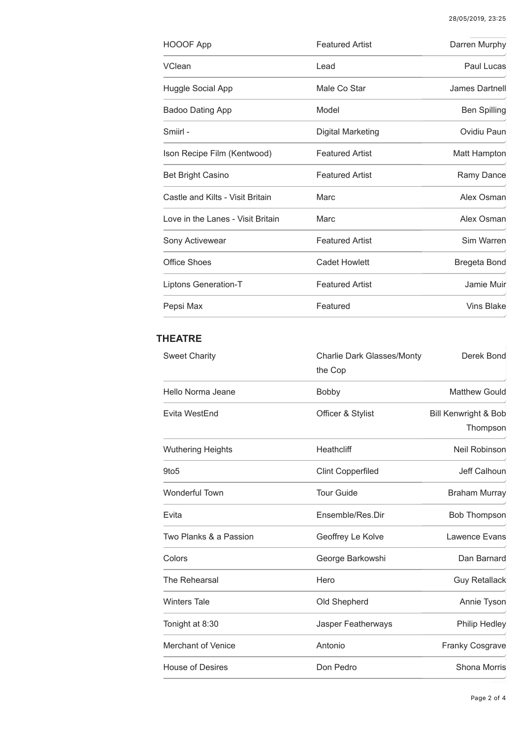| HOOOF App                         | <b>Featured Artist</b> | Darren Murphy       |
|-----------------------------------|------------------------|---------------------|
| <b>VClean</b>                     | Lead                   | Paul Lucas          |
| Huggle Social App                 | Male Co Star           | James Dartnell      |
| <b>Badoo Dating App</b>           | Model                  | <b>Ben Spilling</b> |
| Smiirl -                          | Digital Marketing      | Ovidiu Paun         |
| Ison Recipe Film (Kentwood)       | <b>Featured Artist</b> | Matt Hampton        |
| <b>Bet Bright Casino</b>          | <b>Featured Artist</b> | Ramy Dance          |
| Castle and Kilts - Visit Britain  | Marc                   | Alex Osman          |
| Love in the Lanes - Visit Britain | Marc                   | Alex Osman          |
| Sony Activewear                   | <b>Featured Artist</b> | Sim Warren          |
| <b>Office Shoes</b>               | <b>Cadet Howlett</b>   | Bregeta Bond        |
| Liptons Generation-T              | <b>Featured Artist</b> | Jamie Muir          |
| Pepsi Max                         | Featured               | <b>Vins Blake</b>   |

## **THEATRE**

| <b>Sweet Charity</b>      | <b>Charlie Dark Glasses/Monty</b><br>the Cop | Derek Bond                       |
|---------------------------|----------------------------------------------|----------------------------------|
| Hello Norma Jeane         | <b>Bobby</b>                                 | <b>Matthew Gould</b>             |
| Evita WestEnd             | Officer & Stylist                            | Bill Kenwright & Bob<br>Thompson |
| <b>Wuthering Heights</b>  | Heathcliff                                   | Neil Robinson                    |
| 9to <sub>5</sub>          | <b>Clint Copperfiled</b>                     | Jeff Calhoun                     |
| Wonderful Town            | <b>Tour Guide</b>                            | <b>Braham Murray</b>             |
| Evita                     | Ensemble/Res.Dir                             | <b>Bob Thompson</b>              |
| Two Planks & a Passion    | Geoffrey Le Kolve                            | Lawence Evans                    |
| Colors                    | George Barkowshi                             | Dan Barnard                      |
| The Rehearsal             | Hero                                         | <b>Guy Retallack</b>             |
| <b>Winters Tale</b>       | Old Shepherd                                 | Annie Tyson                      |
| Tonight at 8:30           | Jasper Featherways                           | <b>Philip Hedley</b>             |
| <b>Merchant of Venice</b> | Antonio                                      | <b>Franky Cosgrave</b>           |
| <b>House of Desires</b>   | Don Pedro                                    | Shona Morris                     |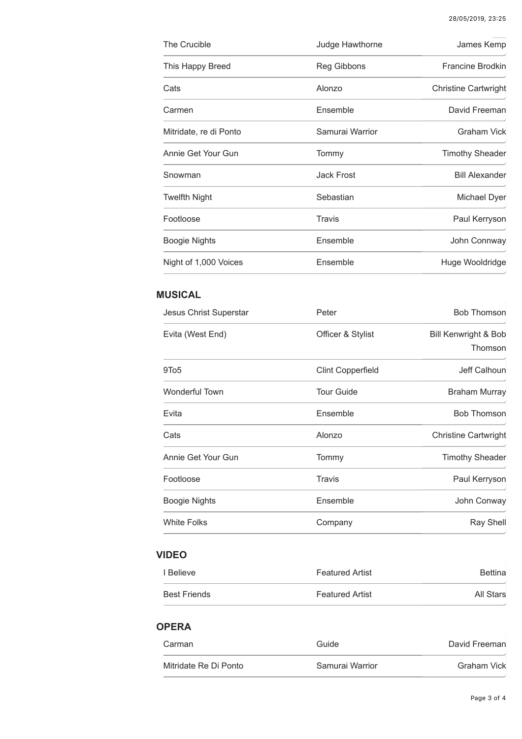| The Crucible           | Judge Hawthorne   | James Kemp                  |
|------------------------|-------------------|-----------------------------|
| This Happy Breed       | Reg Gibbons       | Francine Brodkin            |
| Cats                   | Alonzo            | <b>Christine Cartwright</b> |
| Carmen                 | Ensemble          | David Freeman               |
| Mitridate, re di Ponto | Samurai Warrior   | <b>Graham Vick</b>          |
| Annie Get Your Gun     | Tommy             | <b>Timothy Sheader</b>      |
| Snowman                | <b>Jack Frost</b> | <b>Bill Alexander</b>       |
| <b>Twelfth Night</b>   | Sebastian         | Michael Dyer                |
| Footloose              | Travis            | Paul Kerryson               |
| <b>Boogie Nights</b>   | Ensemble          | John Connway                |
| Night of 1,000 Voices  | Ensemble          | Huge Wooldridge             |

## **MUSICAL**

| Jesus Christ Superstar | Peter                    | <b>Bob Thomson</b>              |
|------------------------|--------------------------|---------------------------------|
| Evita (West End)       | Officer & Stylist        | Bill Kenwright & Bob<br>Thomson |
| 9To <sub>5</sub>       | <b>Clint Copperfield</b> | Jeff Calhoun                    |
| <b>Wonderful Town</b>  | <b>Tour Guide</b>        | <b>Braham Murray</b>            |
| Evita                  | Ensemble                 | <b>Bob Thomson</b>              |
| Cats                   | Alonzo                   | <b>Christine Cartwright</b>     |
| Annie Get Your Gun     | Tommy                    | <b>Timothy Sheader</b>          |
| Footloose              | Travis                   | Paul Kerryson                   |
| <b>Boogie Nights</b>   | Ensemble                 | John Conway                     |
| <b>White Folks</b>     | Company                  | <b>Ray Shell</b>                |
|                        |                          |                                 |

## **VIDEO**

| I Believe           | <b>Featured Artist</b> | <b>Bettina</b> |
|---------------------|------------------------|----------------|
| <b>Best Friends</b> | <b>Featured Artist</b> | All Stars      |

### **OPERA**

| Carman                | Guide           | David Freeman |
|-----------------------|-----------------|---------------|
| Mitridate Re Di Ponto | Samurai Warrior | Graham Vick   |